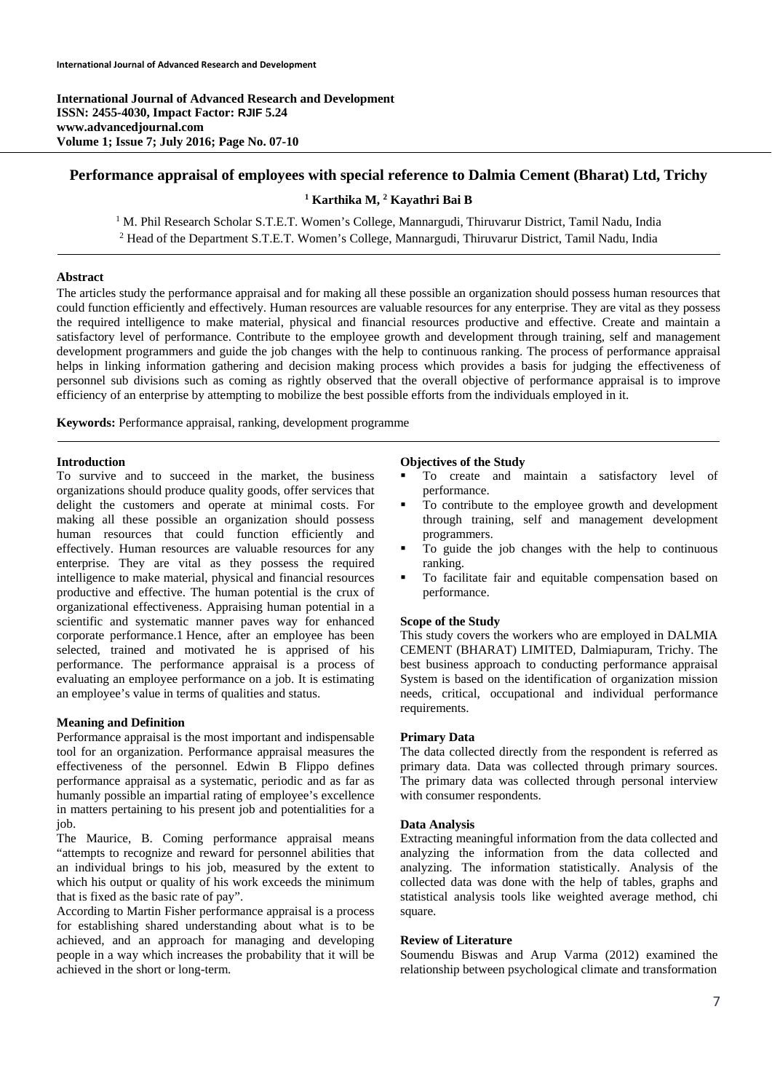**International Journal of Advanced Research and Development ISSN: 2455-4030, Impact Factor: RJIF 5.24 www.advancedjournal.com Volume 1; Issue 7; July 2016; Page No. 07-10** 

# **Performance appraisal of employees with special reference to Dalmia Cement (Bharat) Ltd, Trichy**

## <sup>1</sup> Karthika M, <sup>2</sup> Kayathri Bai B

<sup>1</sup> M. Phil Research Scholar S.T.E.T. Women's College, Mannargudi, Thiruvarur District, Tamil Nadu, India <sup>2</sup> Head of the Department S.T.E.T. Women's College, Mannargudi, Thiruvarur District, Tamil Nadu, India

# **Abstract**

The articles study the performance appraisal and for making all these possible an organization should possess human resources that could function efficiently and effectively. Human resources are valuable resources for any enterprise. They are vital as they possess the required intelligence to make material, physical and financial resources productive and effective. Create and maintain a satisfactory level of performance. Contribute to the employee growth and development through training, self and management development programmers and guide the job changes with the help to continuous ranking. The process of performance appraisal helps in linking information gathering and decision making process which provides a basis for judging the effectiveness of personnel sub divisions such as coming as rightly observed that the overall objective of performance appraisal is to improve efficiency of an enterprise by attempting to mobilize the best possible efforts from the individuals employed in it.

**Keywords:** Performance appraisal, ranking, development programme

## **Introduction**

To survive and to succeed in the market, the business organizations should produce quality goods, offer services that delight the customers and operate at minimal costs. For making all these possible an organization should possess human resources that could function efficiently and effectively. Human resources are valuable resources for any enterprise. They are vital as they possess the required intelligence to make material, physical and financial resources productive and effective. The human potential is the crux of organizational effectiveness. Appraising human potential in a scientific and systematic manner paves way for enhanced corporate performance.1 Hence, after an employee has been selected, trained and motivated he is apprised of his performance. The performance appraisal is a process of evaluating an employee performance on a job. It is estimating an employee's value in terms of qualities and status.

## **Meaning and Definition**

Performance appraisal is the most important and indispensable tool for an organization. Performance appraisal measures the effectiveness of the personnel. Edwin B Flippo defines performance appraisal as a systematic, periodic and as far as humanly possible an impartial rating of employee's excellence in matters pertaining to his present job and potentialities for a job.

The Maurice, B. Coming performance appraisal means "attempts to recognize and reward for personnel abilities that an individual brings to his job, measured by the extent to which his output or quality of his work exceeds the minimum that is fixed as the basic rate of pay".

According to Martin Fisher performance appraisal is a process for establishing shared understanding about what is to be achieved, and an approach for managing and developing people in a way which increases the probability that it will be achieved in the short or long-term.

## **Objectives of the Study**

- To create and maintain a satisfactory level of performance.
- To contribute to the employee growth and development through training, self and management development programmers.
- To guide the job changes with the help to continuous ranking.
- To facilitate fair and equitable compensation based on performance.

## **Scope of the Study**

This study covers the workers who are employed in DALMIA CEMENT (BHARAT) LIMITED, Dalmiapuram, Trichy. The best business approach to conducting performance appraisal System is based on the identification of organization mission needs, critical, occupational and individual performance requirements.

## **Primary Data**

The data collected directly from the respondent is referred as primary data. Data was collected through primary sources. The primary data was collected through personal interview with consumer respondents.

#### **Data Analysis**

Extracting meaningful information from the data collected and analyzing the information from the data collected and analyzing. The information statistically. Analysis of the collected data was done with the help of tables, graphs and statistical analysis tools like weighted average method, chi square.

### **Review of Literature**

Soumendu Biswas and Arup Varma (2012) examined the relationship between psychological climate and transformation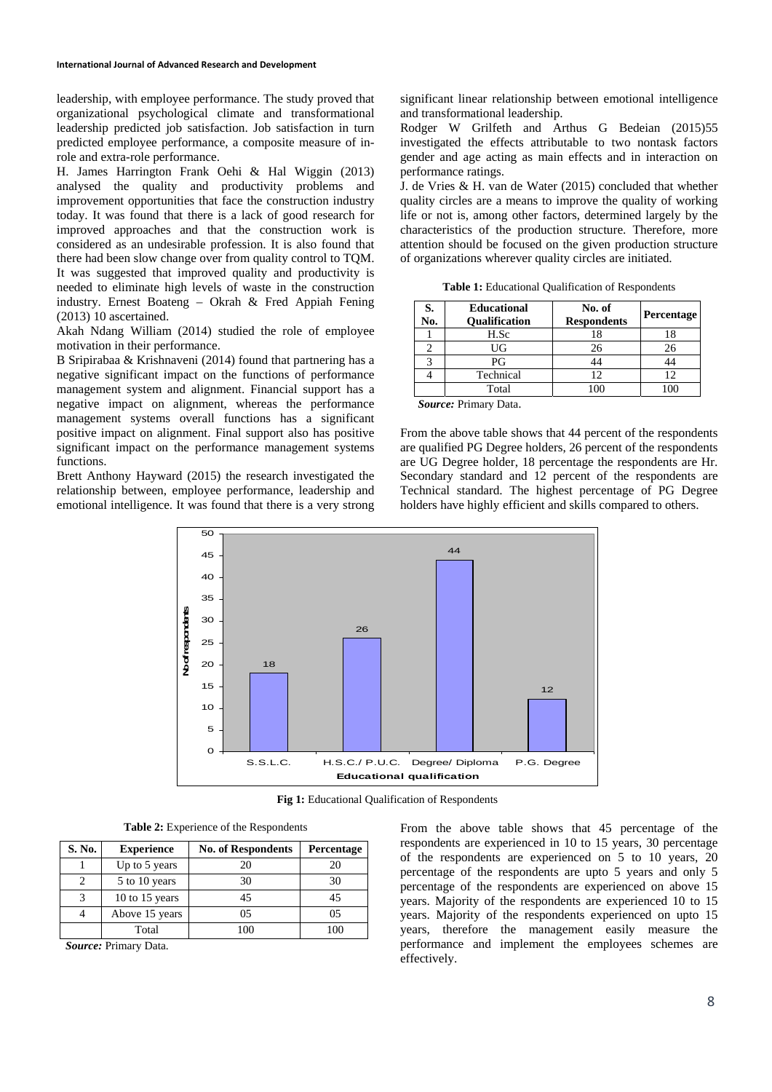leadership, with employee performance. The study proved that organizational psychological climate and transformational leadership predicted job satisfaction. Job satisfaction in turn predicted employee performance, a composite measure of inrole and extra-role performance.

H. James Harrington Frank Oehi & Hal Wiggin (2013) analysed the quality and productivity problems and improvement opportunities that face the construction industry today. It was found that there is a lack of good research for improved approaches and that the construction work is considered as an undesirable profession. It is also found that there had been slow change over from quality control to TQM. It was suggested that improved quality and productivity is needed to eliminate high levels of waste in the construction industry. Ernest Boateng – Okrah & Fred Appiah Fening (2013) 10 ascertained.

Akah Ndang William (2014) studied the role of employee motivation in their performance.

B Sripirabaa & Krishnaveni (2014) found that partnering has a negative significant impact on the functions of performance management system and alignment. Financial support has a negative impact on alignment, whereas the performance management systems overall functions has a significant positive impact on alignment. Final support also has positive significant impact on the performance management systems functions.

Brett Anthony Hayward (2015) the research investigated the relationship between, employee performance, leadership and emotional intelligence. It was found that there is a very strong significant linear relationship between emotional intelligence and transformational leadership.

Rodger W Grilfeth and Arthus G Bedeian (2015)55 investigated the effects attributable to two nontask factors gender and age acting as main effects and in interaction on performance ratings.

J. de Vries & H. van de Water (2015) concluded that whether quality circles are a means to improve the quality of working life or not is, among other factors, determined largely by the characteristics of the production structure. Therefore, more attention should be focused on the given production structure of organizations wherever quality circles are initiated.

**Table 1:** Educational Qualification of Respondents

| S.<br>No. | <b>Educational</b><br><b>Oualification</b> | No. of<br><b>Respondents</b> | <b>Percentage</b> |
|-----------|--------------------------------------------|------------------------------|-------------------|
|           | H.Sc                                       | 18                           |                   |
|           | UG                                         | 26                           | 26                |
|           | PG                                         |                              |                   |
|           | Technical                                  | 12                           |                   |
|           | Total                                      |                              |                   |
|           |                                            |                              |                   |

*Source:* Primary Data.

From the above table shows that 44 percent of the respondents are qualified PG Degree holders, 26 percent of the respondents are UG Degree holder, 18 percentage the respondents are Hr. Secondary standard and 12 percent of the respondents are Technical standard. The highest percentage of PG Degree holders have highly efficient and skills compared to others.



Fig 1: Educational Qualification of Respondents

|  |  |  | <b>Table 2:</b> Experience of the Respondents |
|--|--|--|-----------------------------------------------|
|--|--|--|-----------------------------------------------|

| S. No. | <b>Experience</b> | <b>No. of Respondents</b> | Percentage |
|--------|-------------------|---------------------------|------------|
|        | Up to 5 years     | 20                        | 20         |
|        | 5 to 10 years     | 30                        | 30         |
|        | 10 to 15 years    | 45                        | 45         |
|        | Above 15 years    | 05                        | 0.5        |
|        | Total             | 100                       | 100        |

*Source:* Primary Data.

From the above table shows that 45 percentage of the respondents are experienced in 10 to 15 years, 30 percentage of the respondents are experienced on 5 to 10 years, 20 percentage of the respondents are upto 5 years and only 5 percentage of the respondents are experienced on above 15 years. Majority of the respondents are experienced 10 to 15 years. Majority of the respondents experienced on upto 15 years, therefore the management easily measure the performance and implement the employees schemes are effectively.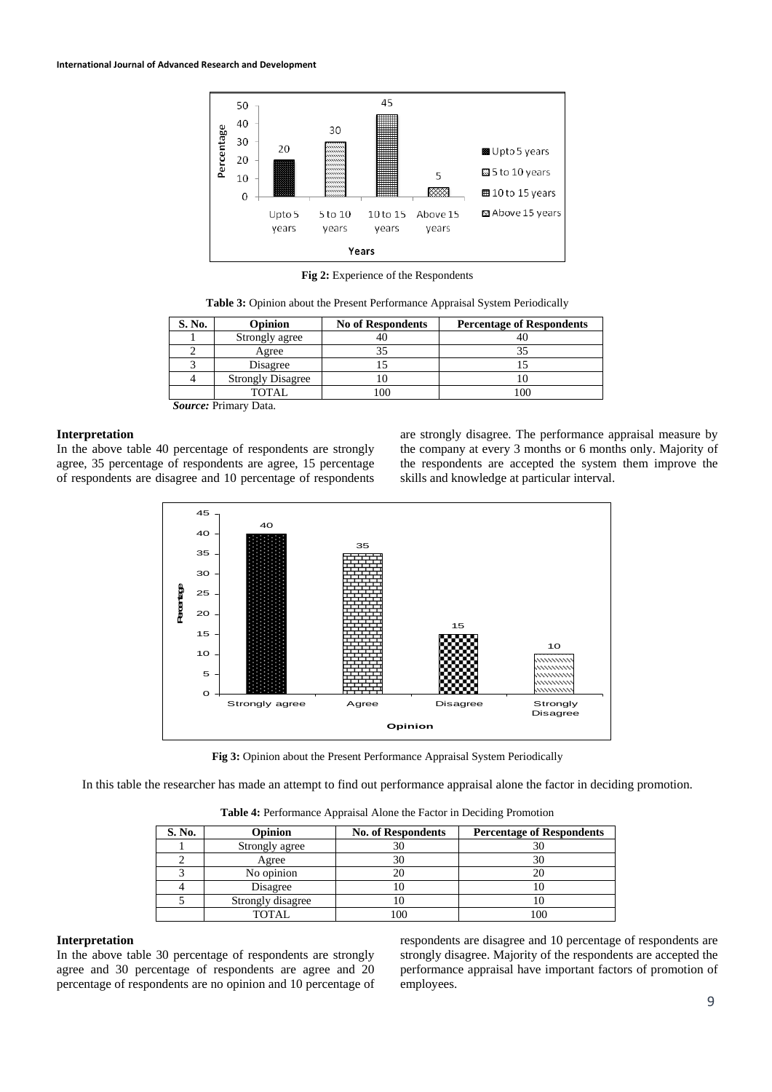

**Fig 2:** Experience of the Respondents

| S. No. | Opinion                  | <b>No of Respondents</b> | <b>Percentage of Respondents</b> |
|--------|--------------------------|--------------------------|----------------------------------|
|        | Strongly agree           | 40                       |                                  |
|        | Agree                    |                          |                                  |
|        | Disagree                 |                          |                                  |
|        | <b>Strongly Disagree</b> |                          |                                  |
|        | <b>TOTAL</b>             |                          |                                  |

*Source:* Primary Data.

### **Interpretation**

In the above table 40 percentage of respondents are strongly agree, 35 percentage of respondents are agree, 15 percentage of respondents are disagree and 10 percentage of respondents are strongly disagree. The performance appraisal measure by the company at every 3 months or 6 months only. Majority of the respondents are accepted the system them improve the skills and knowledge at particular interval.



**Fig 3:** Opinion about the Present Performance Appraisal System Periodically

In this table the researcher has made an attempt to find out performance appraisal alone the factor in deciding promotion.

**Table 4:** Performance Appraisal Alone the Factor in Deciding Promotion

| S. No. | <b>Opinion</b>    | <b>No. of Respondents</b> | <b>Percentage of Respondents</b> |
|--------|-------------------|---------------------------|----------------------------------|
|        | Strongly agree    | 30                        |                                  |
|        | Agree             |                           |                                  |
|        | No opinion        |                           |                                  |
|        | Disagree          |                           |                                  |
|        | Strongly disagree |                           |                                  |
|        | <b>TOTAL</b>      |                           | $\alpha$                         |

## **Interpretation**

In the above table 30 percentage of respondents are strongly agree and 30 percentage of respondents are agree and 20 percentage of respondents are no opinion and 10 percentage of respondents are disagree and 10 percentage of respondents are strongly disagree. Majority of the respondents are accepted the performance appraisal have important factors of promotion of employees.